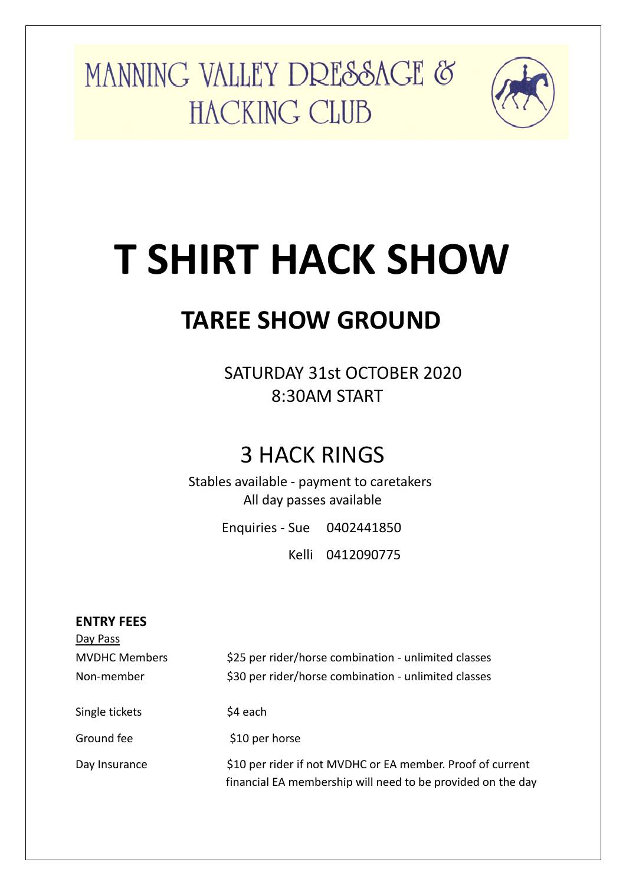MANNING VALLEY DRESSAGE & HACKING CLUB



# **T SHIRT HACK SHOW**

### **TAREE SHOW GROUND**

 SATURDAY 31st OCTOBER 2020 8:30AM START

### 3 HACK RINGS

Stables available - payment to caretakers All day passes available

Enquiries - Sue 0402441850

Kelli 0412090775

| <b>ENTRY FEES</b>    |                                                                                                                           |
|----------------------|---------------------------------------------------------------------------------------------------------------------------|
| Day Pass             |                                                                                                                           |
| <b>MVDHC Members</b> | \$25 per rider/horse combination - unlimited classes                                                                      |
| Non-member           | \$30 per rider/horse combination - unlimited classes                                                                      |
| Single tickets       | \$4 each                                                                                                                  |
| Ground fee           | \$10 per horse                                                                                                            |
| Day Insurance        | \$10 per rider if not MVDHC or EA member. Proof of current<br>financial EA membership will need to be provided on the day |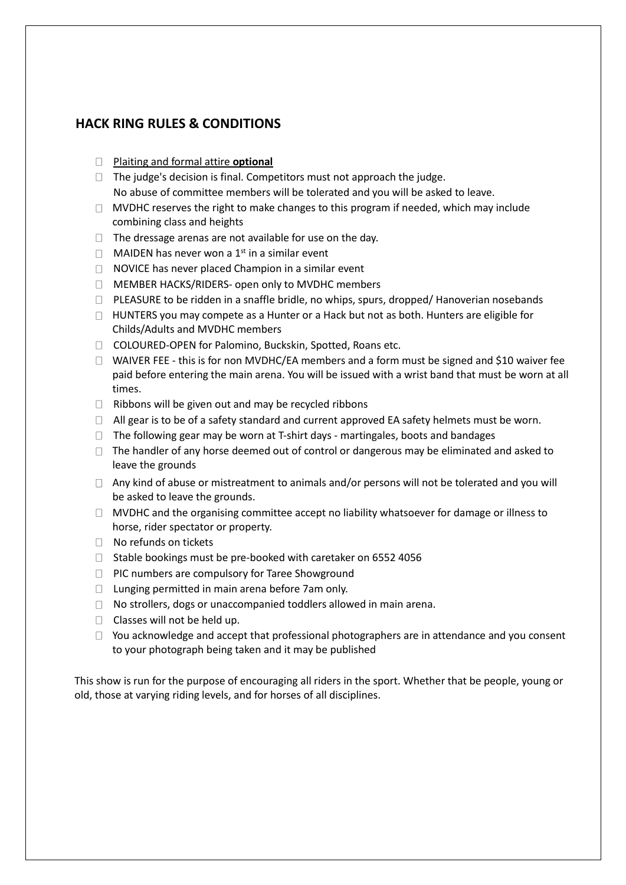#### **HACK RING RULES & CONDITIONS**

- Plaiting and formal attire **optional**
- $\Box$  The judge's decision is final. Competitors must not approach the judge. No abuse of committee members will be tolerated and you will be asked to leave.
- $\Box$  MVDHC reserves the right to make changes to this program if needed, which may include combining class and heights
- $\Box$  The dressage arenas are not available for use on the day.
- $\Box$  MAIDEN has never won a 1<sup>st</sup> in a similar event
- $\Box$  NOVICE has never placed Champion in a similar event
- □ MEMBER HACKS/RIDERS- open only to MVDHC members
- $\Box$  PLEASURE to be ridden in a snaffle bridle, no whips, spurs, dropped/ Hanoverian nosebands
- $\Box$  HUNTERS you may compete as a Hunter or a Hack but not as both. Hunters are eligible for Childs/Adults and MVDHC members
- COLOURED-OPEN for Palomino, Buckskin, Spotted, Roans etc.
- $\Box$  WAIVER FEE this is for non MVDHC/EA members and a form must be signed and \$10 waiver fee paid before entering the main arena. You will be issued with a wrist band that must be worn at all times.
- $\Box$  Ribbons will be given out and may be recycled ribbons
- $\Box$  All gear is to be of a safety standard and current approved EA safety helmets must be worn.
- $\Box$  The following gear may be worn at T-shirt days martingales, boots and bandages
- $\Box$  The handler of any horse deemed out of control or dangerous may be eliminated and asked to leave the grounds
- $\Box$  Any kind of abuse or mistreatment to animals and/or persons will not be tolerated and you will be asked to leave the grounds.
- $\Box$  MVDHC and the organising committee accept no liability whatsoever for damage or illness to horse, rider spectator or property.
- $\Box$  No refunds on tickets
- $\Box$  Stable bookings must be pre-booked with caretaker on 6552 4056
- □ PIC numbers are compulsory for Taree Showground
- $\Box$  Lunging permitted in main arena before 7am only.
- $\Box$  No strollers, dogs or unaccompanied toddlers allowed in main arena.
- $\Box$  Classes will not be held up.
- $\Box$  You acknowledge and accept that professional photographers are in attendance and you consent to your photograph being taken and it may be published

This show is run for the purpose of encouraging all riders in the sport. Whether that be people, young or old, those at varying riding levels, and for horses of all disciplines.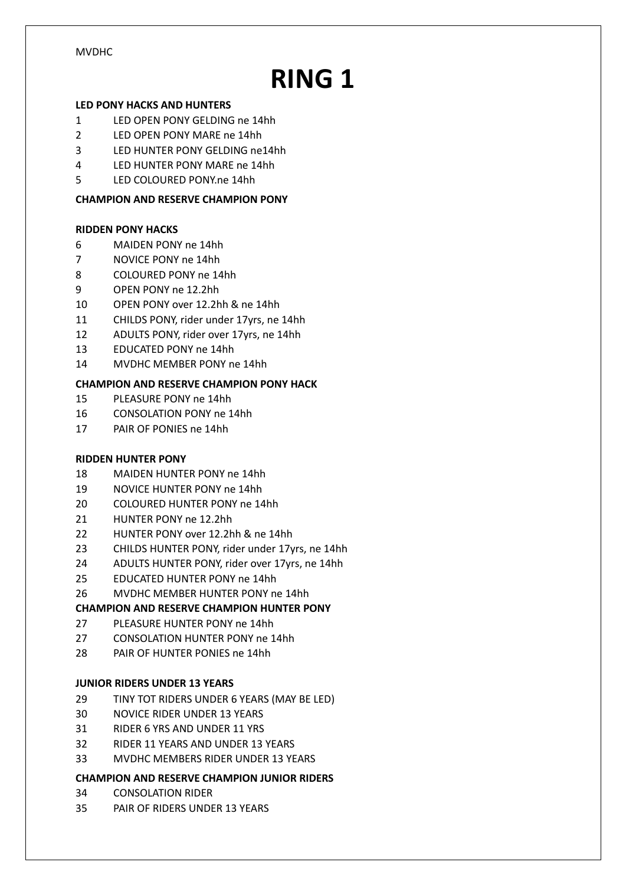# **RING 1**

#### **LED PONY HACKS AND HUNTERS**

- LED OPEN PONY GELDING ne 14hh
- LED OPEN PONY MARE ne 14hh
- LED HUNTER PONY GELDING ne14hh
- LED HUNTER PONY MARE ne 14hh
- LED COLOURED PONY.ne 14hh

#### **CHAMPION AND RESERVE CHAMPION PONY**

#### **RIDDEN PONY HACKS**

- MAIDEN PONY ne 14hh
- NOVICE PONY ne 14hh
- COLOURED PONY ne 14hh
- OPEN PONY ne 12.2hh
- OPEN PONY over 12.2hh & ne 14hh
- CHILDS PONY, rider under 17yrs, ne 14hh
- ADULTS PONY, rider over 17yrs, ne 14hh
- EDUCATED PONY ne 14hh
- MVDHC MEMBER PONY ne 14hh

#### **CHAMPION AND RESERVE CHAMPION PONY HACK**

- PLEASURE PONY ne 14hh
- CONSOLATION PONY ne 14hh
- PAIR OF PONIES ne 14hh

#### **RIDDEN HUNTER PONY**

- MAIDEN HUNTER PONY ne 14hh
- NOVICE HUNTER PONY ne 14hh
- COLOURED HUNTER PONY ne 14hh
- HUNTER PONY ne 12.2hh
- HUNTER PONY over 12.2hh & ne 14hh
- CHILDS HUNTER PONY, rider under 17yrs, ne 14hh
- ADULTS HUNTER PONY, rider over 17yrs, ne 14hh
- EDUCATED HUNTER PONY ne 14hh
- MVDHC MEMBER HUNTER PONY ne 14hh

#### **CHAMPION AND RESERVE CHAMPION HUNTER PONY**

- PLEASURE HUNTER PONY ne 14hh
- CONSOLATION HUNTER PONY ne 14hh
- PAIR OF HUNTER PONIES ne 14hh

#### **JUNIOR RIDERS UNDER 13 YEARS**

- TINY TOT RIDERS UNDER 6 YEARS (MAY BE LED)
- NOVICE RIDER UNDER 13 YEARS
- RIDER 6 YRS AND UNDER 11 YRS
- RIDER 11 YEARS AND UNDER 13 YEARS
- MVDHC MEMBERS RIDER UNDER 13 YEARS

#### **CHAMPION AND RESERVE CHAMPION JUNIOR RIDERS**

- CONSOLATION RIDER
- PAIR OF RIDERS UNDER 13 YEARS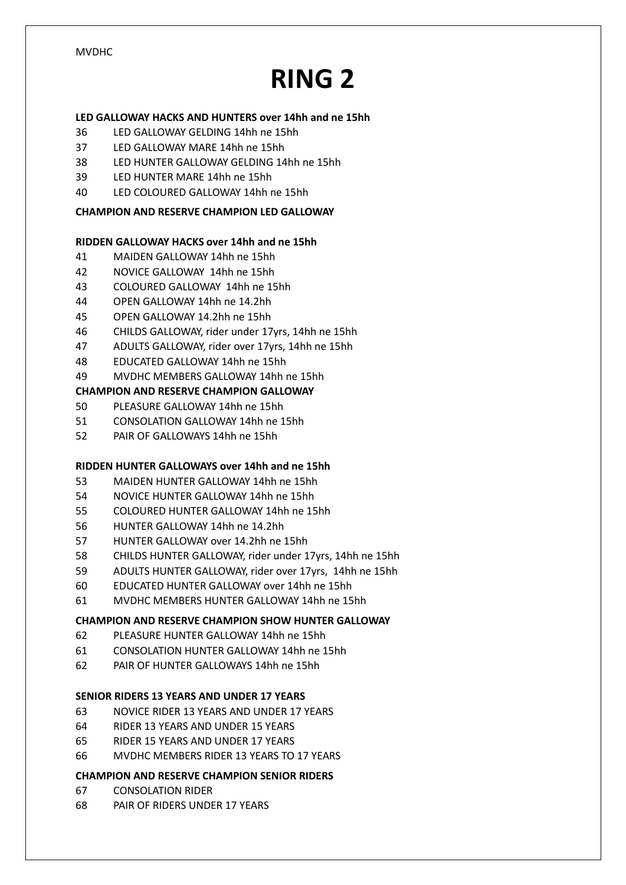## **RING 2**

#### **LED GALLOWAY HACKS AND HUNTERS over 14hh and ne 15hh**

- LED GALLOWAY GELDING 14hh ne 15hh
- LED GALLOWAY MARE 14hh ne 15hh
- LED HUNTER GALLOWAY GELDING 14hh ne 15hh
- LED HUNTER MARE 14hh ne 15hh
- LED COLOURED GALLOWAY 14hh ne 15hh

#### **CHAMPION AND RESERVE CHAMPION LED GALLOWAY**

#### **RIDDEN GALLOWAY HACKS over 14hh and ne 15hh**

- MAIDEN GALLOWAY 14hh ne 15hh
- NOVICE GALLOWAY 14hh ne 15hh
- COLOURED GALLOWAY 14hh ne 15hh
- OPEN GALLOWAY 14hh ne 14.2hh
- OPEN GALLOWAY 14.2hh ne 15hh
- CHILDS GALLOWAY, rider under 17yrs, 14hh ne 15hh
- ADULTS GALLOWAY, rider over 17yrs, 14hh ne 15hh
- EDUCATED GALLOWAY 14hh ne 15hh
- MVDHC MEMBERS GALLOWAY 14hh ne 15hh

#### **CHAMPION AND RESERVE CHAMPION GALLOWAY**

- PLEASURE GALLOWAY 14hh ne 15hh
- CONSOLATION GALLOWAY 14hh ne 15hh
- PAIR OF GALLOWAYS 14hh ne 15hh

#### **RIDDEN HUNTER GALLOWAYS over 14hh and ne 15hh**

- MAIDEN HUNTER GALLOWAY 14hh ne 15hh
- NOVICE HUNTER GALLOWAY 14hh ne 15hh
- COLOURED HUNTER GALLOWAY 14hh ne 15hh
- HUNTER GALLOWAY 14hh ne 14.2hh
- HUNTER GALLOWAY over 14.2hh ne 15hh
- CHILDS HUNTER GALLOWAY, rider under 17yrs, 14hh ne 15hh
- ADULTS HUNTER GALLOWAY, rider over 17yrs, 14hh ne 15hh
- EDUCATED HUNTER GALLOWAY over 14hh ne 15hh
- MVDHC MEMBERS HUNTER GALLOWAY 14hh ne 15hh

#### **CHAMPION AND RESERVE CHAMPION SHOW HUNTER GALLOWAY**

- PLEASURE HUNTER GALLOWAY 14hh ne 15hh
- CONSOLATION HUNTER GALLOWAY 14hh ne 15hh
- PAIR OF HUNTER GALLOWAYS 14hh ne 15hh

#### **SENIOR RIDERS 13 YEARS AND UNDER 17 YEARS**

- NOVICE RIDER 13 YEARS AND UNDER 17 YEARS
- RIDER 13 YEARS AND UNDER 15 YEARS
- RIDER 15 YEARS AND UNDER 17 YEARS
- MVDHC MEMBERS RIDER 13 YEARS TO 17 YEARS

#### **CHAMPION AND RESERVE CHAMPION SENIOR RIDERS**

- CONSOLATION RIDER
- PAIR OF RIDERS UNDER 17 YEARS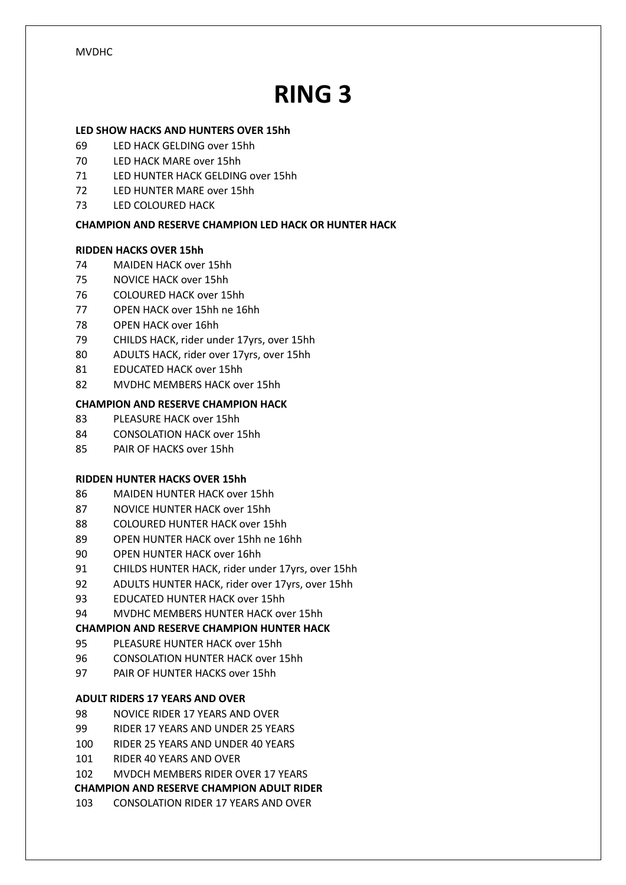### **RING 3**

#### **LED SHOW HACKS AND HUNTERS OVER 15hh**

- LED HACK GELDING over 15hh
- LED HACK MARE over 15hh
- LED HUNTER HACK GELDING over 15hh
- LED HUNTER MARE over 15hh
- LED COLOURED HACK

#### **CHAMPION AND RESERVE CHAMPION LED HACK OR HUNTER HACK**

#### **RIDDEN HACKS OVER 15hh**

- MAIDEN HACK over 15hh
- NOVICE HACK over 15hh
- COLOURED HACK over 15hh
- OPEN HACK over 15hh ne 16hh
- OPEN HACK over 16hh
- CHILDS HACK, rider under 17yrs, over 15hh
- ADULTS HACK, rider over 17yrs, over 15hh
- EDUCATED HACK over 15hh
- MVDHC MEMBERS HACK over 15hh

#### **CHAMPION AND RESERVE CHAMPION HACK**

- PLEASURE HACK over 15hh
- CONSOLATION HACK over 15hh
- PAIR OF HACKS over 15hh

#### **RIDDEN HUNTER HACKS OVER 15hh**

- MAIDEN HUNTER HACK over 15hh
- NOVICE HUNTER HACK over 15hh
- COLOURED HUNTER HACK over 15hh
- OPEN HUNTER HACK over 15hh ne 16hh
- OPEN HUNTER HACK over 16hh
- CHILDS HUNTER HACK, rider under 17yrs, over 15hh
- ADULTS HUNTER HACK, rider over 17yrs, over 15hh
- EDUCATED HUNTER HACK over 15hh
- MVDHC MEMBERS HUNTER HACK over 15hh

#### **CHAMPION AND RESERVE CHAMPION HUNTER HACK**

- PLEASURE HUNTER HACK over 15hh
- CONSOLATION HUNTER HACK over 15hh
- PAIR OF HUNTER HACKS over 15hh

#### **ADULT RIDERS 17 YEARS AND OVER**

- NOVICE RIDER 17 YEARS AND OVER
- RIDER 17 YEARS AND UNDER 25 YEARS
- RIDER 25 YEARS AND UNDER 40 YEARS
- RIDER 40 YEARS AND OVER
- MVDCH MEMBERS RIDER OVER 17 YEARS
- **CHAMPION AND RESERVE CHAMPION ADULT RIDER**
- CONSOLATION RIDER 17 YEARS AND OVER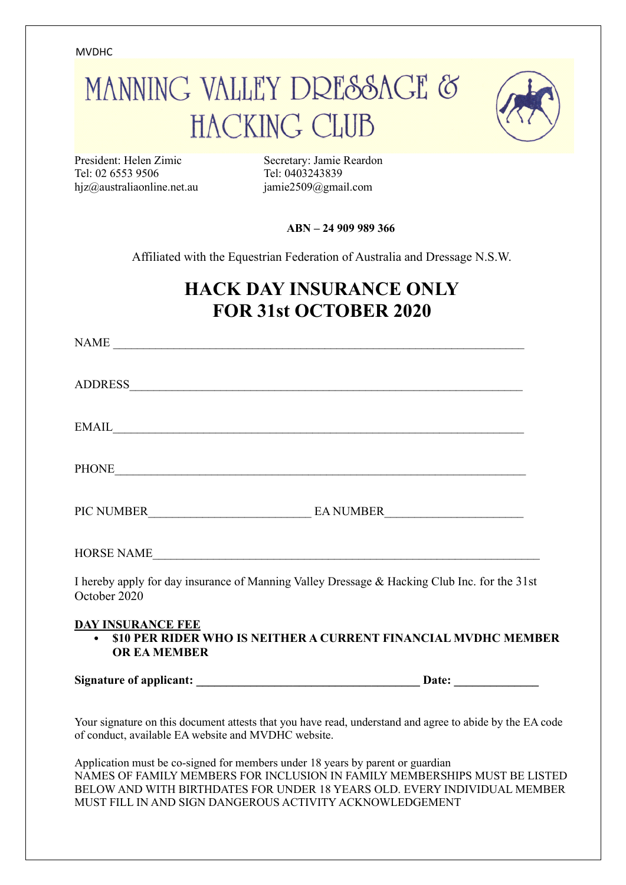# MANNING VALLEY DRESSAGE & **HACKING CLUB**



President: Helen Zimic Secretary: Jamie Reardon Tel: 02 6553 9506 Tel: 0403243839 hjz@australiaonline.net.au jamie2509@gmail.com

**ABN – 24 909 989 366**

Affiliated with the Equestrian Federation of Australia and Dressage N.S.W.

### **HACK DAY INSURANCE ONLY FOR 31st OCTOBER 2020**

| NAME                                                                                                                                                                                                                               |                                                                                                          |
|------------------------------------------------------------------------------------------------------------------------------------------------------------------------------------------------------------------------------------|----------------------------------------------------------------------------------------------------------|
|                                                                                                                                                                                                                                    |                                                                                                          |
| $E\text{MAIL}$                                                                                                                                                                                                                     |                                                                                                          |
| PHONE <b>Example 2</b> and 2 and 2 and 2 and 2 and 2 and 2 and 2 and 2 and 2 and 2 and 2 and 2 and 2 and 2 and 2 and 2 and 2 and 2 and 2 and 2 and 2 and 2 and 2 and 2 and 2 and 2 and 2 and 2 and 2 and 2 and 2 and 2 and 2 and 2 |                                                                                                          |
|                                                                                                                                                                                                                                    |                                                                                                          |
| HORSE NAME                                                                                                                                                                                                                         |                                                                                                          |
| I hereby apply for day insurance of Manning Valley Dressage & Hacking Club Inc. for the 31st<br>October 2020                                                                                                                       |                                                                                                          |
| <b>DAY INSURANCE FEE</b><br><b>OR EA MEMBER</b>                                                                                                                                                                                    | • \$10 PER RIDER WHO IS NEITHER A CURRENT FINANCIAL MVDHC MEMBER                                         |
|                                                                                                                                                                                                                                    |                                                                                                          |
| of conduct, available EA website and MVDHC website.                                                                                                                                                                                | Your signature on this document attests that you have read, understand and agree to abide by the EA code |

Application must be co-signed for members under 18 years by parent or guardian NAMES OF FAMILY MEMBERS FOR INCLUSION IN FAMILY MEMBERSHIPS MUST BE LISTED BELOW AND WITH BIRTHDATES FOR UNDER 18 YEARS OLD. EVERY INDIVIDUAL MEMBER MUST FILL IN AND SIGN DANGEROUS ACTIVITY ACKNOWLEDGEMENT